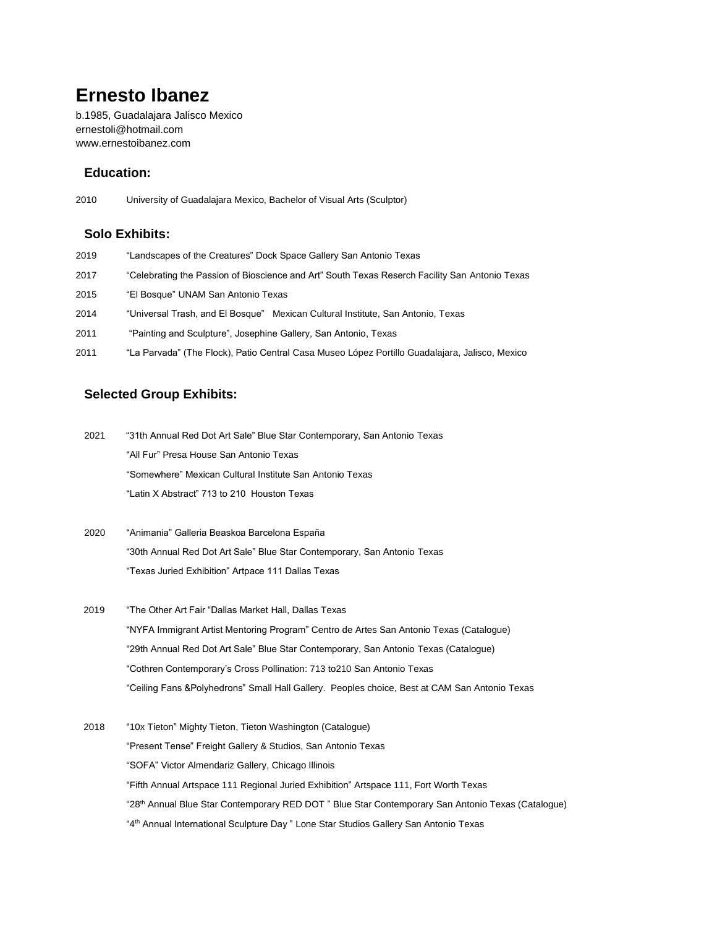# **Ernesto Ibanez**

b.1985, Guadalajara Jalisco Mexico [ernestoli@hotmail.com](mailto:ernestoli@hotmail.com) www.ernestoibanez.com

### **Education:**

2010 University of Guadalajara Mexico, Bachelor of Visual Arts (Sculptor)

#### **Solo Exhibits:**

- 2019 "Landscapes of the Creatures" Dock Space Gallery San Antonio Texas
- 2017 "Celebrating the Passion of Bioscience and Art" South Texas Reserch Facility San Antonio Texas
- 2015 "El Bosque" UNAM San Antonio Texas
- 2014 "Universal Trash, and El Bosque" Mexican Cultural Institute, San Antonio, Texas
- 2011 "Painting and Sculpture", Josephine Gallery, San Antonio, Texas
- 2011 "La Parvada" (The Flock), Patio Central Casa Museo López Portillo Guadalajara, Jalisco, Mexico

## **Selected Group Exhibits:**

2021 "31th Annual Red Dot Art Sale" Blue Star Contemporary, San Antonio Texas "All Fur" Presa House San Antonio Texas "Somewhere" Mexican Cultural Institute San Antonio Texas "Latin X Abstract" 713 to 210 Houston Texas

- 2020 "Animania" Galleria Beaskoa Barcelona España "30th Annual Red Dot Art Sale" Blue Star Contemporary, San Antonio Texas "Texas Juried Exhibition" Artpace 111 Dallas Texas
- 2019 "The Other Art Fair "Dallas Market Hall, Dallas Texas "NYFA Immigrant Artist Mentoring Program" Centro de Artes San Antonio Texas (Catalogue) "29th Annual Red Dot Art Sale" Blue Star Contemporary, San Antonio Texas (Catalogue) "Cothren Contemporary's Cross Pollination: 713 to210 San Antonio Texas "Ceiling Fans &Polyhedrons" Small Hall Gallery. Peoples choice, Best at CAM San Antonio Texas
- 2018 "10x Tieton" Mighty Tieton, Tieton Washington (Catalogue) "Present Tense" Freight Gallery & Studios, San Antonio Texas "SOFA" Victor Almendariz Gallery, Chicago Illinois "Fifth Annual Artspace 111 Regional Juried Exhibition" Artspace 111, Fort Worth Texas "28th Annual Blue Star Contemporary RED DOT " Blue Star Contemporary San Antonio Texas (Catalogue) "4<sup>th</sup> Annual International Sculpture Day" Lone Star Studios Gallery San Antonio Texas